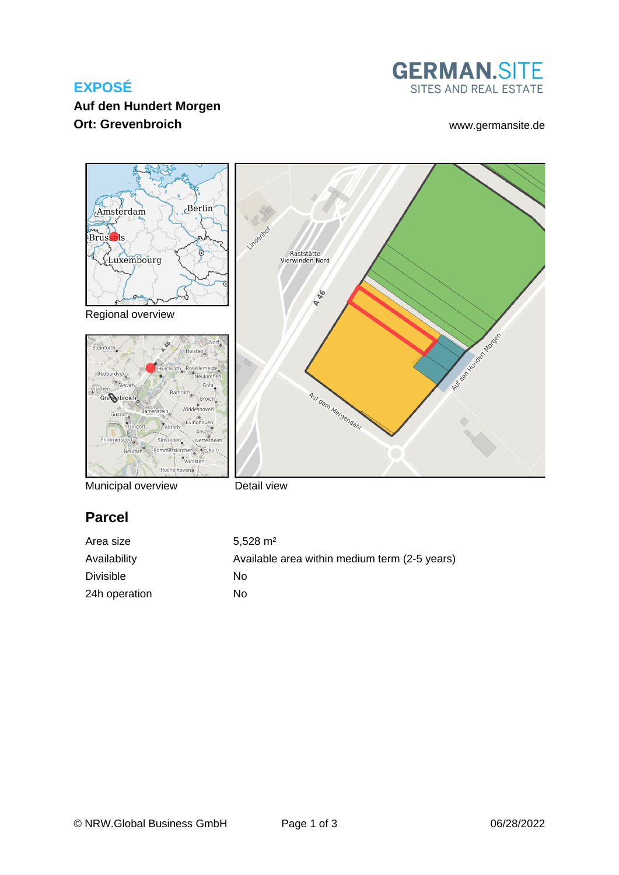# **EXPOSÉ**

## **Auf den Hundert Morgen Ort: Grevenbroich** [www.germansite.de](http://www.germansite.de)





Regional overview





Municipal overview

Detail view

# **Parcel**

| Area size        | $5.528 \text{ m}^2$                           |
|------------------|-----------------------------------------------|
| Availability     | Available area within medium term (2-5 years) |
| <b>Divisible</b> | No.                                           |
| 24h operation    | No.                                           |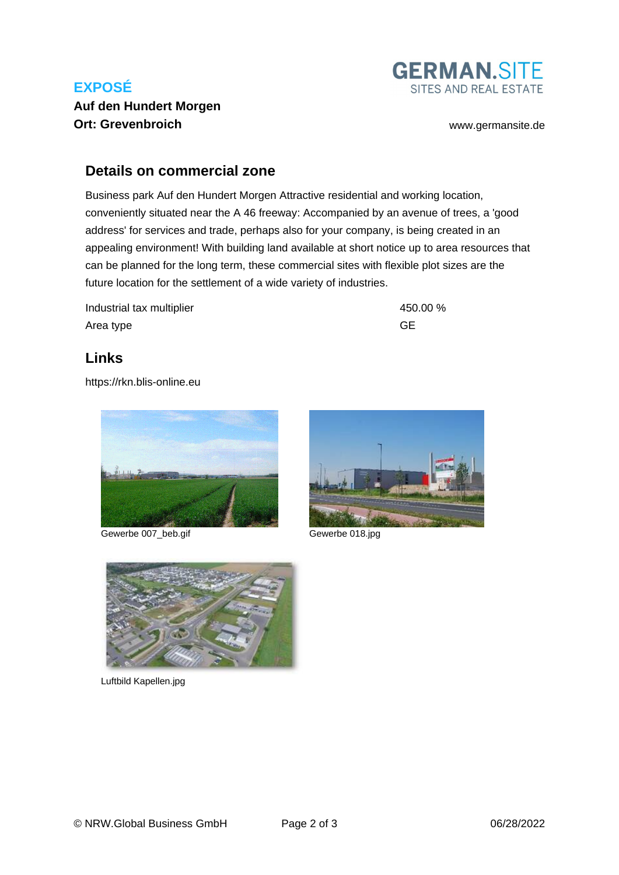# **EXPOSÉ**



## **Auf den Hundert Morgen Ort: Grevenbroich** [www.germansite.de](http://www.germansite.de)

### **Details on commercial zone**

Business park Auf den Hundert Morgen Attractive residential and working location, conveniently situated near the A 46 freeway: Accompanied by an avenue of trees, a 'good address' for services and trade, perhaps also for your company, is being created in an appealing environment! With building land available at short notice up to area resources that can be planned for the long term, these commercial sites with flexible plot sizes are the future location for the settlement of a wide variety of industries.

Industrial tax multiplier 450.00 % Area type GE

## **Links**

<https://rkn.blis-online.eu>



Gewerbe 007\_beb.gif Gewerbe 018.jpg





Luftbild Kapellen.jpg